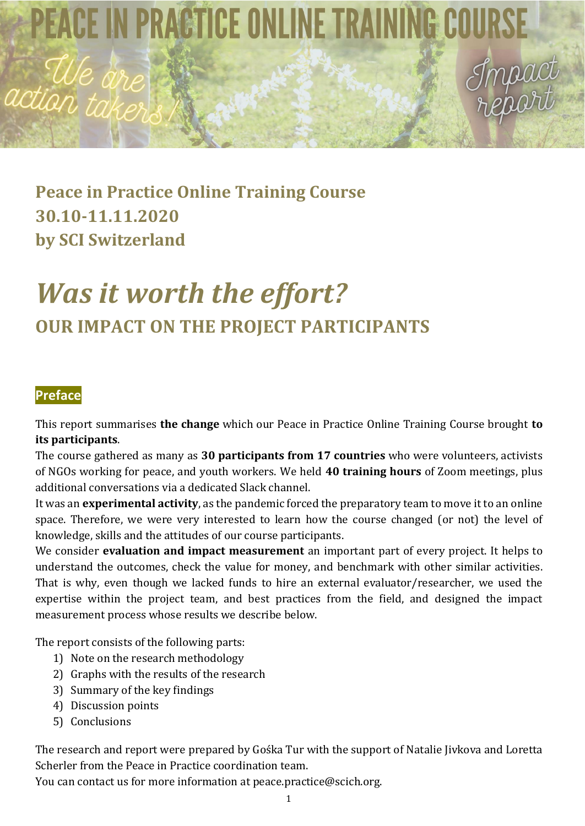PEACE IN PRACTICE ONLINE TRAINING COUR

# **Peace in Practice Online Training Course 30.10-11.11.2020 by SCI Switzerland**

# *Was it worth the effort?* **OUR IMPACT ON THE PROJECT PARTICIPANTS**

# **Preface**

action,

This report summarises **the change** which our Peace in Practice Online Training Course brought **to its participants**.

The course gathered as many as **30 participants from 17 countries** who were volunteers, activists of NGOs working for peace, and youth workers. We held **40 training hours** of Zoom meetings, plus additional conversations via a dedicated Slack channel.

It was an **experimental activity**, as the pandemic forced the preparatory team to move it to an online space. Therefore, we were very interested to learn how the course changed (or not) the level of knowledge, skills and the attitudes of our course participants.

We consider **evaluation and impact measurement** an important part of every project. It helps to understand the outcomes, check the value for money, and benchmark with other similar activities. That is why, even though we lacked funds to hire an external evaluator/researcher, we used the expertise within the project team, and best practices from the field, and designed the impact measurement process whose results we describe below.

The report consists of the following parts:

- 1) Note on the research methodology
- 2) Graphs with the results of the research
- 3) Summary of the key findings
- 4) Discussion points
- 5) Conclusions

The research and report were prepared by Gośka Tur with the support of Natalie Jivkova and Loretta Scherler from the Peace in Practice coordination team.

You can contact us for more information at peace.practice@scich.org.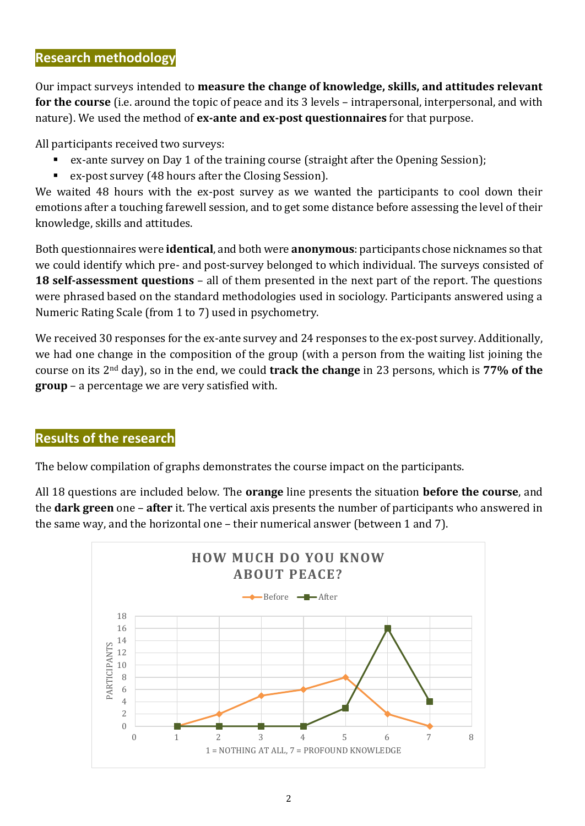#### **Research methodology**

Our impact surveys intended to **measure the change of knowledge, skills, and attitudes relevant for the course** (i.e. around the topic of peace and its 3 levels – intrapersonal, interpersonal, and with nature). We used the method of **ex-ante and ex-post questionnaires** for that purpose.

All participants received two surveys:

- ex-ante survey on Day 1 of the training course (straight after the Opening Session);
- ex-post survey (48 hours after the Closing Session).

We waited 48 hours with the ex-post survey as we wanted the participants to cool down their emotions after a touching farewell session, and to get some distance before assessing the level of their knowledge, skills and attitudes.

Both questionnaires were **identical**, and both were **anonymous**: participants chose nicknames so that we could identify which pre- and post-survey belonged to which individual. The surveys consisted of **18 self-assessment questions** – all of them presented in the next part of the report. The questions were phrased based on the standard methodologies used in sociology. Participants answered using a Numeric Rating Scale (from 1 to 7) used in psychometry.

We received 30 responses for the ex-ante survey and 24 responses to the ex-post survey. Additionally, we had one change in the composition of the group (with a person from the waiting list joining the course on its 2nd day), so in the end, we could **track the change** in 23 persons, which is **77% of the group** – a percentage we are very satisfied with.

### **Results of the research**

The below compilation of graphs demonstrates the course impact on the participants.

All 18 questions are included below. The **orange** line presents the situation **before the course**, and the **dark green** one – **after** it. The vertical axis presents the number of participants who answered in the same way, and the horizontal one – their numerical answer (between 1 and 7).

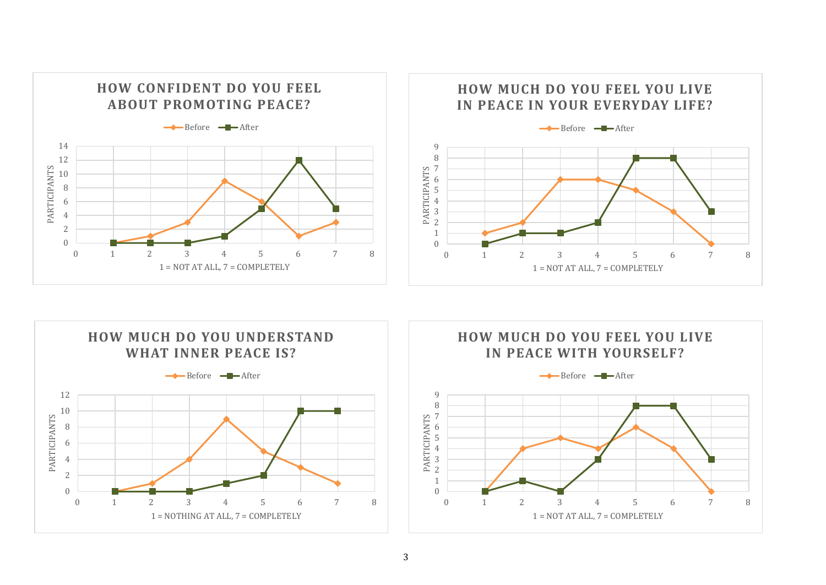





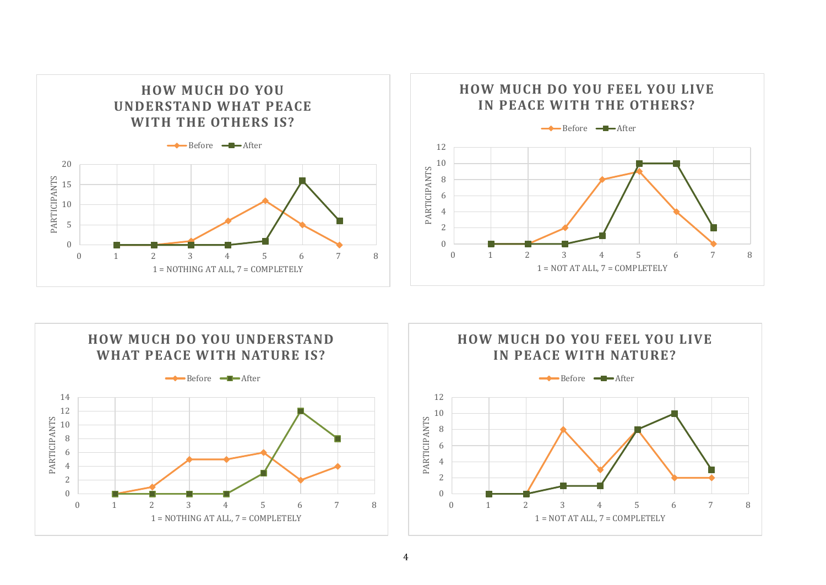





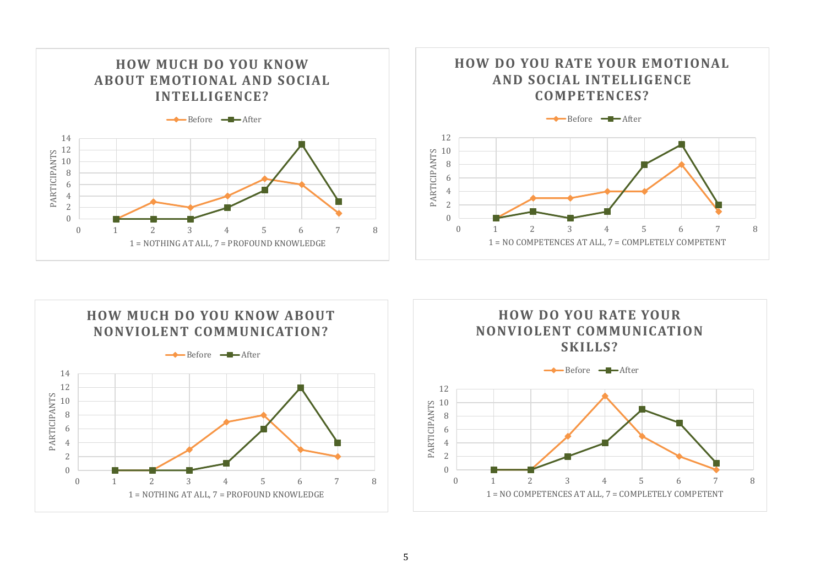





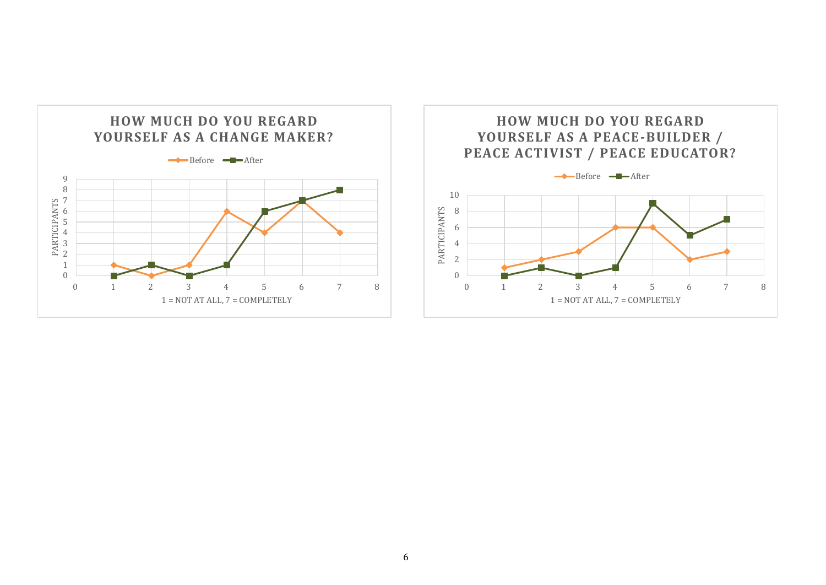

## **HOW MUCH DO YOU REGARD YOURSELF AS A PEACE-BUILDER / PEACE ACTIVIST / PEACE EDUCATOR?**

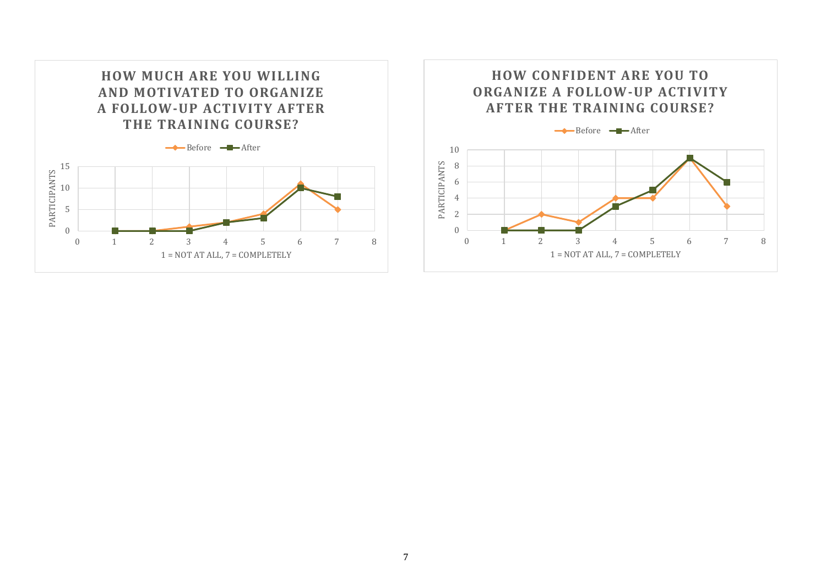

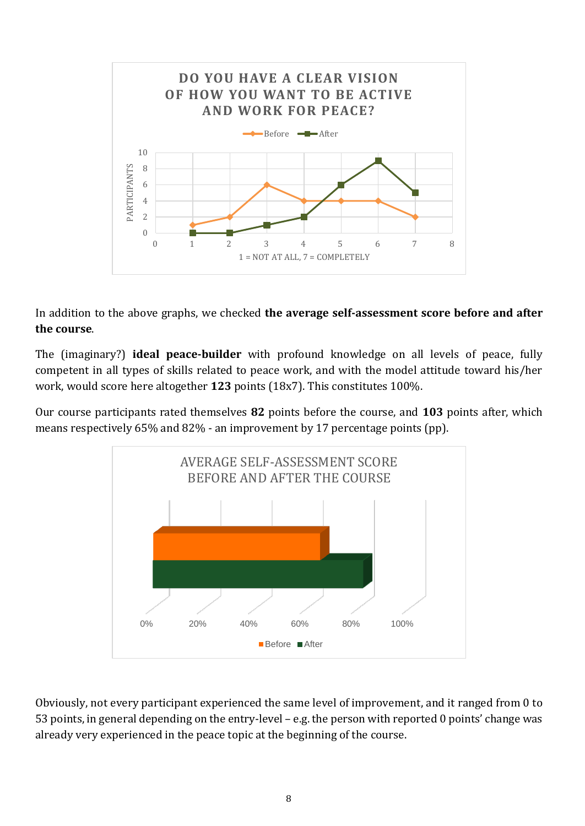

In addition to the above graphs, we checked **the average self-assessment score before and after the course**.

The (imaginary?) **ideal peace-builder** with profound knowledge on all levels of peace, fully competent in all types of skills related to peace work, and with the model attitude toward his/her work, would score here altogether **123** points (18x7). This constitutes 100%.

Our course participants rated themselves **82** points before the course, and **103** points after, which means respectively 65% and 82% - an improvement by 17 percentage points (pp).



Obviously, not every participant experienced the same level of improvement, and it ranged from 0 to 53 points, in general depending on the entry-level – e.g. the person with reported 0 points' change was already very experienced in the peace topic at the beginning of the course.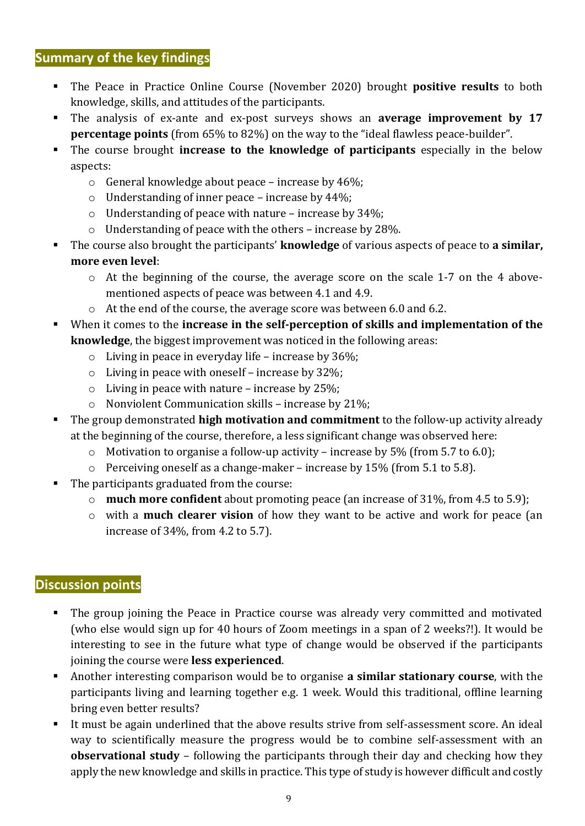#### **Summary of the key findings**

- The Peace in Practice Online Course (November 2020) brought **positive results** to both knowledge, skills, and attitudes of the participants.
- The analysis of ex-ante and ex-post surveys shows an **average improvement by 17 percentage points** (from 65% to 82%) on the way to the "ideal flawless peace-builder".
- The course brought **increase to the knowledge of participants** especially in the below aspects:
	- o General knowledge about peace increase by 46%;
	- o Understanding of inner peace increase by 44%;
	- o Understanding of peace with nature increase by 34%;
	- o Understanding of peace with the others increase by 28%.
- The course also brought the participants' **knowledge** of various aspects of peace to **a similar, more even level**:
	- $\circ$  At the beginning of the course, the average score on the scale 1-7 on the 4 abovementioned aspects of peace was between 4.1 and 4.9.
	- o At the end of the course, the average score was between 6.0 and 6.2.
- When it comes to the **increase in the self-perception of skills and implementation of the knowledge**, the biggest improvement was noticed in the following areas:
	- o Living in peace in everyday life increase by 36%;
	- o Living in peace with oneself increase by 32%;
	- o Living in peace with nature increase by 25%;
	- o Nonviolent Communication skills increase by 21%;
- The group demonstrated **high motivation and commitment** to the follow-up activity already at the beginning of the course, therefore, a less significant change was observed here:
	- o Motivation to organise a follow-up activity increase by 5% (from 5.7 to 6.0);
	- o Perceiving oneself as a change-maker increase by 15% (from 5.1 to 5.8).
- The participants graduated from the course:
	- o **much more confident** about promoting peace (an increase of 31%, from 4.5 to 5.9);
	- o with a **much clearer vision** of how they want to be active and work for peace (an increase of 34%, from 4.2 to 5.7).

#### **Discussion points**

- The group joining the Peace in Practice course was already very committed and motivated (who else would sign up for 40 hours of Zoom meetings in a span of 2 weeks?!). It would be interesting to see in the future what type of change would be observed if the participants joining the course were **less experienced**.
- Another interesting comparison would be to organise **a similar stationary course**, with the participants living and learning together e.g. 1 week. Would this traditional, offline learning bring even better results?
- It must be again underlined that the above results strive from self-assessment score. An ideal way to scientifically measure the progress would be to combine self-assessment with an **observational study** – following the participants through their day and checking how they apply the new knowledge and skills in practice. This type of study is however difficult and costly